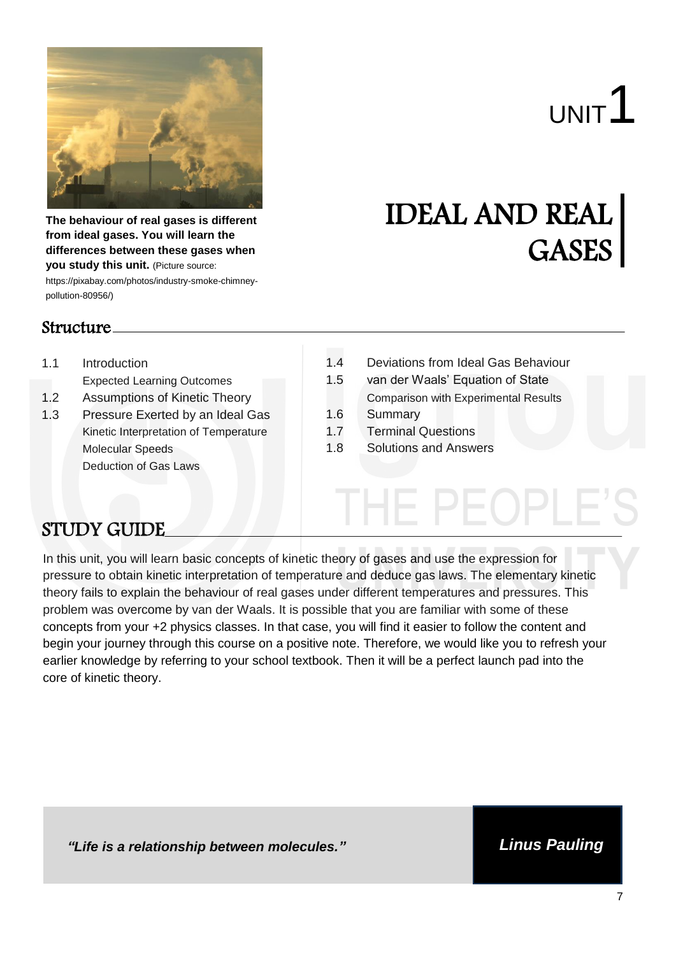

UNIT<sup>1</sup>

GASES

**The behaviour of real gases is different from ideal gases. You will learn the differences between these gases when you study this unit.** (Picture source: https://pixabay.com/photos/industry-smoke-chimney-

pollution-80956/)

### Structure

- 1.1 Introduction
	- Expected Learning Outcomes
- 1.2 Assumptions of Kinetic Theory
- 1.3 Pressure Exerted by an Ideal Gas Kinetic Interpretation of Temperature Molecular Speeds Deduction of Gas Laws
- 1.4 Deviations from Ideal Gas Behaviour

IDEAL AND REAL

- 1.5 van der Waals' Equation of State
- Comparison with Experimental Results 1.6 Summary
- 1.7 Terminal Questions
- 1.8 Solutions and Answers

### STUDY GUIDE

In this unit, you will learn basic concepts of kinetic theory of gases and use the expression for pressure to obtain kinetic interpretation of temperature and deduce gas laws. The elementary kinetic theory fails to explain the behaviour of real gases under different temperatures and pressures. This problem was overcome by van der Waals. It is possible that you are familiar with some of these concepts from your +2 physics classes. In that case, you will find it easier to follow the content and begin your journey through this course on a positive note. Therefore, we would like you to refresh your earlier knowledge by referring to your school textbook. Then it will be a perfect launch pad into the core of kinetic theory.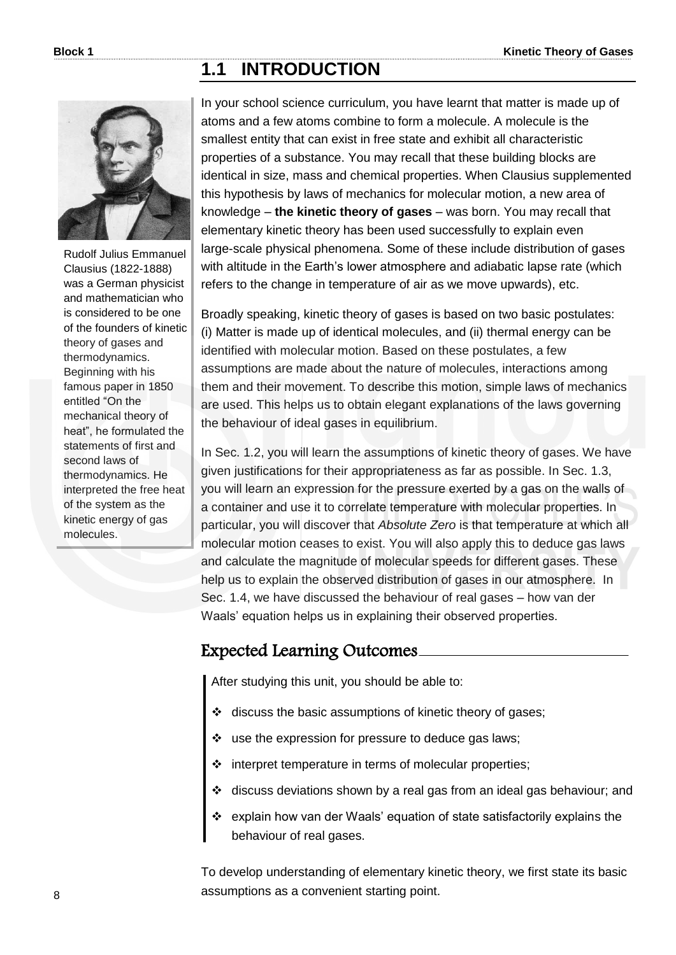### **1.1 INTRODUCTION**



Rudolf Julius Emmanuel Clausius (1822-1888) was a German physicist and mathematician who is considered to be one of the founders of kinetic theory of gases and thermodynamics. Beginning with his famous paper in 1850 entitled "On the mechanical theory of heat", he formulated the statements of first and second laws of thermodynamics. He interpreted the free heat of the system as the kinetic energy of gas molecules.

In your school science curriculum, you have learnt that matter is made up of atoms and a few atoms combine to form a molecule. A molecule is the smallest entity that can exist in free state and exhibit all characteristic properties of a substance. You may recall that these building blocks are identical in size, mass and chemical properties. When Clausius supplemented this hypothesis by laws of mechanics for molecular motion, a new area of knowledge – **the kinetic theory of gases** – was born. You may recall that elementary kinetic theory has been used successfully to explain even large-scale physical phenomena. Some of these include distribution of gases with altitude in the Earth's lower atmosphere and adiabatic lapse rate (which refers to the change in temperature of air as we move upwards), etc.

Broadly speaking, kinetic theory of gases is based on two basic postulates: (i) Matter is made up of identical molecules, and (ii) thermal energy can be identified with molecular motion. Based on these postulates, a few assumptions are made about the nature of molecules, interactions among them and their movement. To describe this motion, simple laws of mechanics are used. This helps us to obtain elegant explanations of the laws governing the behaviour of ideal gases in equilibrium.

In Sec. 1.2, you will learn the assumptions of kinetic theory of gases. We have given justifications for their appropriateness as far as possible. In Sec. 1.3, you will learn an expression for the pressure exerted by a gas on the walls of a container and use it to correlate temperature with molecular properties. In particular, you will discover that *Absolute Zero* is that temperature at which all molecular motion ceases to exist. You will also apply this to deduce gas laws and calculate the magnitude of molecular speeds for different gases. These help us to explain the observed distribution of gases in our atmosphere. In Sec. 1.4, we have discussed the behaviour of real gases – how van der Waals' equation helps us in explaining their observed properties.

### Expected Learning Outcomes

After studying this unit, you should be able to:

- discuss the basic assumptions of kinetic theory of gases;
- $\cdot$  use the expression for pressure to deduce gas laws;
- $\div$  interpret temperature in terms of molecular properties;
- discuss deviations shown by a real gas from an ideal gas behaviour; and
- explain how van der Waals' equation of state satisfactorily explains the behaviour of real gases.

To develop understanding of elementary kinetic theory, we first state its basic assumptions as a convenient starting point.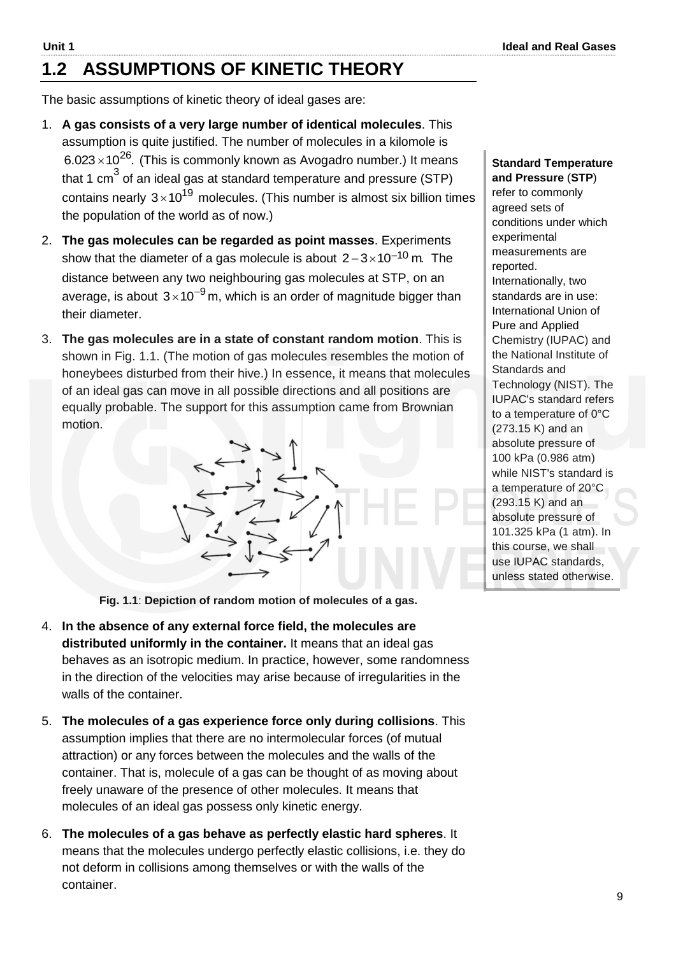## **1.2 ASSUMPTIONS OF KINETIC THEORY**

The basic assumptions of kinetic theory of ideal gases are:

- 1. **A gas consists of a very large number of identical molecules**. This assumption is quite justified. The number of molecules in a kilomole is 6.023 $\times$ 10<sup>26</sup>. (This is commonly known as Avogadro number.) It means that 1 cm $^3$  of an ideal gas at standard temperature and pressure (STP) contains nearly  $3\times10^{19}$  molecules. (This number is almost six billion times the population of the world as of now.)
- 2. **The gas molecules can be regarded as point masses**. Experiments show that the diameter of a gas molecule is about  $2-3\times10^{-10}\,\rm m$  The distance between any two neighbouring gas molecules at STP, on an average, is about  $3{\times}10^{-9}$ m, which is an order of magnitude bigger than their diameter.
- 3. **The gas molecules are in a state of constant random motion**. This is shown in Fig. 1.1. (The motion of gas molecules resembles the motion of honeybees disturbed from their hive.) In essence, it means that molecules of an ideal gas can move in all possible directions and all positions are equally probable. The support for this assumption came from Brownian motion.

$$
\frac{1}{2} \sum_{i=1}^{n} \frac{1}{2} \sum_{j=1}^{n} \frac{1}{2} \sum_{j=1}^{n} \frac{1}{2} \sum_{j=1}^{n} \frac{1}{2} \sum_{j=1}^{n} \frac{1}{2} \sum_{j=1}^{n} \frac{1}{2} \sum_{j=1}^{n} \frac{1}{2} \sum_{j=1}^{n} \frac{1}{2} \sum_{j=1}^{n} \frac{1}{2} \sum_{j=1}^{n} \frac{1}{2} \sum_{j=1}^{n} \frac{1}{2} \sum_{j=1}^{n} \frac{1}{2} \sum_{j=1}^{n} \frac{1}{2} \sum_{j=1}^{n} \frac{1}{2} \sum_{j=1}^{n} \frac{1}{2} \sum_{j=1}^{n} \frac{1}{2} \sum_{j=1}^{n} \frac{1}{2} \sum_{j=1}^{n} \frac{1}{2} \sum_{j=1}^{n} \frac{1}{2} \sum_{j=1}^{n} \frac{1}{2} \sum_{j=1}^{n} \frac{1}{2} \sum_{j=1}^{n} \frac{1}{2} \sum_{j=1}^{n} \frac{1}{2} \sum_{j=1}^{n} \frac{1}{2} \sum_{j=1}^{n} \frac{1}{2} \sum_{j=1}^{n} \frac{1}{2} \sum_{j=1}^{n} \frac{1}{2} \sum_{j=1}^{n} \frac{1}{2} \sum_{j=1}^{n} \frac{1}{2} \sum_{j=1}^{n} \frac{1}{2} \sum_{j=1}^{n} \frac{1}{2} \sum_{j=1}^{n} \frac{1}{2} \sum_{j=1}^{n} \frac{1}{2} \sum_{j=1}^{n} \frac{1}{2} \sum_{j=1}^{n} \frac{1}{2} \sum_{j=1}^{n} \frac{1}{2} \sum_{j=1}^{n} \frac{1}{2} \sum_{j=1}^{n} \frac{1}{2} \sum_{j=1}^{n} \frac{1}{2} \sum_{j=1}^{n} \frac{1}{2} \sum_{j=1}^{n} \frac{1}{2} \sum_{j=1}^{n} \frac{1}{2} \sum_{j=1}^{n} \frac{1}{2} \sum_{j=1}^{n} \frac{1}{2} \sum_{j=
$$

**Standard Temperature and Pressure** (**STP**) refer to commonly agreed sets of conditions under which experimental measurements are reported. Internationally, two standards are in use: International Union of Pure and Applied Chemistry (IUPAC) and the National Institute of Standards and Technology (NIST). The IUPAC's standard refers to a temperature of 0°C (273.15 K) and an absolute pressure of 100 kPa (0.986 atm) while NIST's standard is a temperature of 20°C (293.15 K) and an absolute pressure of 101.325 kPa (1 atm). In this course, we shall use IUPAC standards, unless stated otherwise.

**Fig. 1.1**: **Depiction of random motion of molecules of a gas.** 

- 4. **In the absence of any external force field, the molecules are distributed uniformly in the container.** It means that an ideal gas behaves as an isotropic medium. In practice, however, some randomness in the direction of the velocities may arise because of irregularities in the walls of the container.
- 5. **The molecules of a gas experience force only during collisions**. This assumption implies that there are no intermolecular forces (of mutual attraction) or any forces between the molecules and the walls of the container. That is, molecule of a gas can be thought of as moving about freely unaware of the presence of other molecules. It means that molecules of an ideal gas possess only kinetic energy.
- 6. **The molecules of a gas behave as perfectly elastic hard spheres**. It means that the molecules undergo perfectly elastic collisions, i.e. they do not deform in collisions among themselves or with the walls of the container.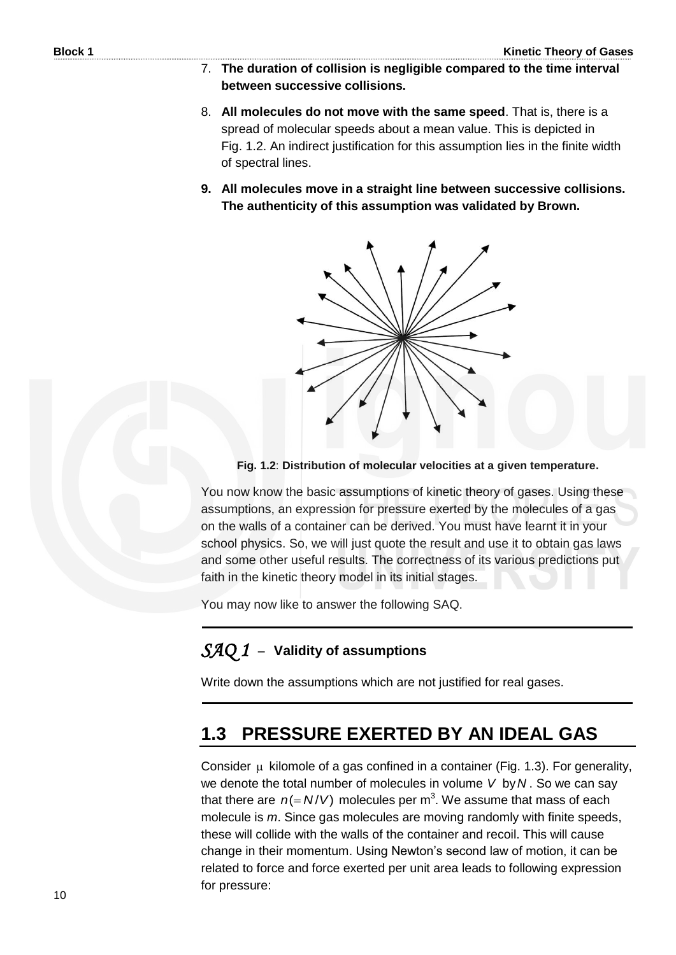- 7. **The duration of collision is negligible compared to the time interval between successive collisions.**
- 8. **All molecules do not move with the same speed**. That is, there is a spread of molecular speeds about a mean value. This is depicted in Fig. 1.2. An indirect justification for this assumption lies in the finite width of spectral lines.
- **9. All molecules move in a straight line between successive collisions. The authenticity of this assumption was validated by Brown.**



#### **Fig. 1.2**: **Distribution of molecular velocities at a given temperature.**

You now know the basic assumptions of kinetic theory of gases. Using these assumptions, an expression for pressure exerted by the molecules of a gas on the walls of a container can be derived. You must have learnt it in your school physics. So, we will just quote the result and use it to obtain gas laws and some other useful results. The correctness of its various predictions put faith in the kinetic theory model in its initial stages.

You may now like to answer the following SAQ.

### *SAQ 1* –**Validity of assumptions**

Write down the assumptions which are not justified for real gases.

### **1.3 PRESSURE EXERTED BY AN IDEAL GAS**

Consider  $\mu$  kilomole of a gas confined in a container (Fig. 1.3). For generality, we denote the total number of molecules in volume *V* by *N* . So we can say that there are  $n (= N/V)$  molecules per m<sup>3</sup>. We assume that mass of each molecule is *m*. Since gas molecules are moving randomly with finite speeds, these will collide with the walls of the container and recoil. This will cause change in their momentum. Using Newton's second law of motion, it can be related to force and force exerted per unit area leads to following expression for pressure: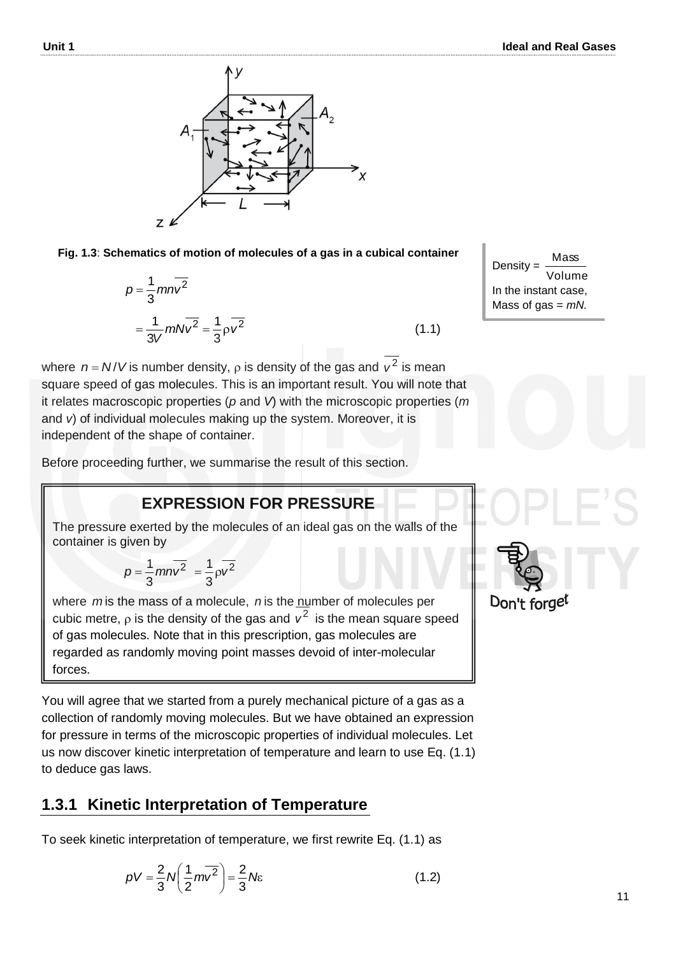

**Fig. 1.3**: **Schematics of motion of molecules of a gas in a cubical container**

$$
p = \frac{1}{3} m n \overline{v^2}
$$

$$
= \frac{1}{3V} m N \overline{v^2} = \frac{1}{3} \rho \overline{v^2}
$$

where  $n = N/V$  is number density,  $\rho$  is density of the gas and  $v^2$  is mean square speed of gas molecules. This is an important result. You will note that it relates macroscopic properties (*p* and *V*) with the microscopic properties (*m* and *v*) of individual molecules making up the system. Moreover, it is independent of the shape of container.

Before proceeding further, we summarise the result of this section.

### **EXPRESSION FOR PRESSURE**

The pressure exerted by the molecules of an ideal gas on the walls of the container is given by

$$
p = \frac{1}{3} m n v^2 = \frac{1}{3} \rho v^2
$$

where mis the mass of a molecule, n is the number of molecules per cubic metre,  $\rho$  is the density of the gas and  $v^2$  is the mean square speed of gas molecules. Note that in this prescription, gas molecules are regarded as randomly moving point masses devoid of inter-molecular forces.

You will agree that we started from a purely mechanical picture of a gas as a collection of randomly moving molecules. But we have obtained an expression for pressure in terms of the microscopic properties of individual molecules. Let us now discover kinetic interpretation of temperature and learn to use Eq. (1.1) to deduce gas laws.

### **1.3.1 Kinetic Interpretation of Temperature**

To seek kinetic interpretation of temperature, we first rewrite Eq. (1.1) as

$$
pV = \frac{2}{3}N\left(\frac{1}{2}m\overline{v^2}\right) = \frac{2}{3}N\varepsilon
$$
 (1.2)

Density : lume Mass In the instant case, Mass of gas = *mN.*

(1.1)

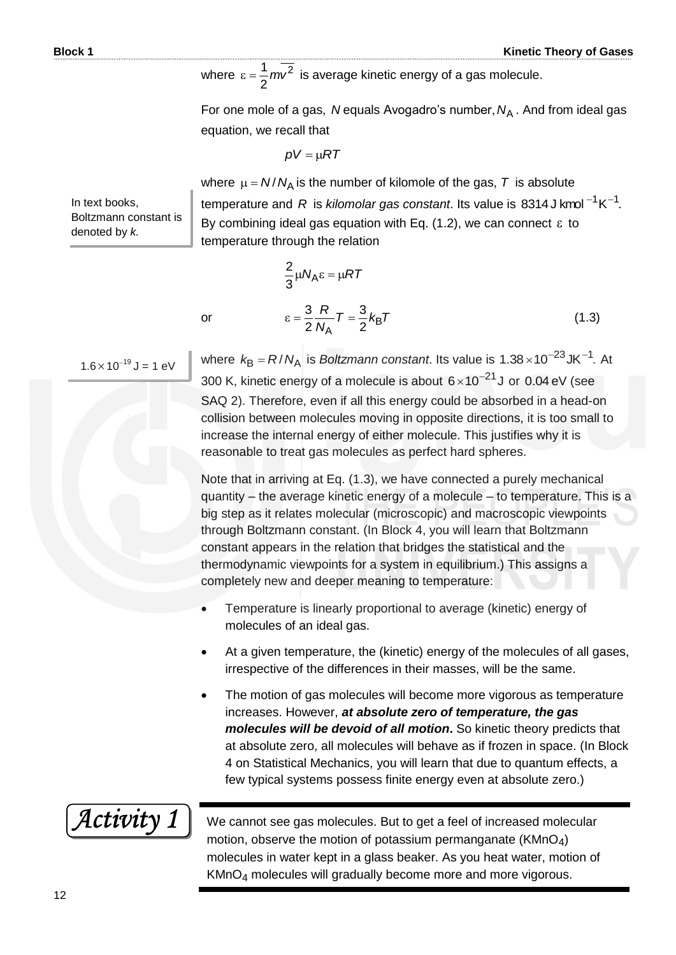where  $\varepsilon = \frac{1}{2}mv^2$ 2  $\epsilon = \frac{1}{2} m v^2$  is average kinetic energy of a gas molecule.

For one mole of a gas, *N* equals Avogadro's number,  $N_A$  . And from ideal gas equation, we recall that

$$
\rho V = \mu RT
$$

 $\frac{2}{3} \mu N_A \varepsilon = \mu RT$ 

*N R*

2

 $T = \frac{6}{5}k_B T$ 

 $\frac{1}{A}$  / =  $\frac{1}{2}$ <sup> $\kappa$ </sup>B 3

2

In text books, Boltzmann constant is denoted by *k.*

where  $\mu = N/N_A$  is the number of kilomole of the gas,  $T$  is absolute temperature and R is *kilomolar gas constant*. Its value is 8314J kmol  $^{-1}$ K $^{-1}$ . By combining ideal gas equation with Eq. (1.2), we can connect  $\varepsilon$  to temperature through the relation

 $\varepsilon = \frac{3}{2} \frac{R}{M} T = \frac{3}{2} k_{\text{B}} T$  (1.3)

$$
\qquad \qquad \text{or} \qquad
$$

 $1.6 \times 10^{-19}$  J = 1 eV

where  $k_B = R/N_A$  is *Boltzmann constant*. Its value is  $1.38 \times 10^{-23}$ JK<sup>-1</sup>. At 300 K, kinetic energy of a molecule is about  $6 \times 10^{-21}$ J or 0.04 eV (see SAQ 2). Therefore, even if all this energy could be absorbed in a head-on collision between molecules moving in opposite directions, it is too small to increase the internal energy of either molecule. This justifies why it is reasonable to treat gas molecules as perfect hard spheres.

Note that in arriving at Eq. (1.3), we have connected a purely mechanical quantity – the average kinetic energy of a molecule – to temperature. This is a big step as it relates molecular (microscopic) and macroscopic viewpoints through Boltzmann constant. (In Block 4, you will learn that Boltzmann constant appears in the relation that bridges the statistical and the thermodynamic viewpoints for a system in equilibrium.) This assigns a completely new and deeper meaning to temperature:

- Temperature is linearly proportional to average (kinetic) energy of molecules of an ideal gas.
- At a given temperature, the (kinetic) energy of the molecules of all gases, irrespective of the differences in their masses, will be the same.
- The motion of gas molecules will become more vigorous as temperature increases. However, *at absolute zero of temperature, the gas molecules will be devoid of all motion***.** So kinetic theory predicts that at absolute zero, all molecules will behave as if frozen in space. (In Block 4 on Statistical Mechanics, you will learn that due to quantum effects, a few typical systems possess finite energy even at absolute zero.)

Activity 1

We cannot see gas molecules. But to get a feel of increased molecular motion, observe the motion of potassium permanganate ( $KMnO<sub>4</sub>$ ) molecules in water kept in a glass beaker. As you heat water, motion of KMnO4 molecules will gradually become more and more vigorous.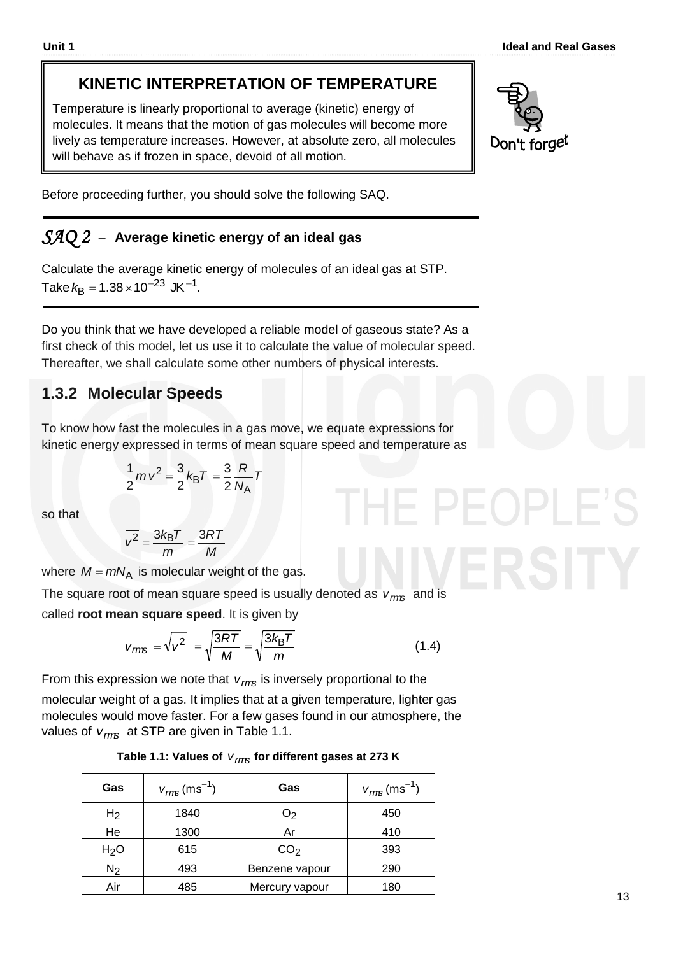## **KINETIC INTERPRETATION OF TEMPERATURE**

Temperature is linearly proportional to average (kinetic) energy of molecules. It means that the motion of gas molecules will become more lively as temperature increases. However, at absolute zero, all molecules will behave as if frozen in space, devoid of all motion.



Before proceeding further, you should solve the following SAQ.

### *SAQ 2* –**Average kinetic energy of an ideal gas**

Calculate the average kinetic energy of molecules of an ideal gas at STP. Take  $k_{\text{B}} = 1.38 \times 10^{-23} \text{ JK}^{-1}$ .

Do you think that we have developed a reliable model of gaseous state? As a first check of this model, let us use it to calculate the value of molecular speed. Thereafter, we shall calculate some other numbers of physical interests.

### **1.3.2 Molecular Speeds**

To know how fast the molecules in a gas move, we equate expressions for kinetic energy expressed in terms of mean square speed and temperature as

$$
\frac{1}{2}m\overline{v^2} = \frac{3}{2}k_BT = \frac{3}{2}\frac{R}{N_A}T
$$

so that

$$
\overline{v^2} = \frac{3k_BT}{m} = \frac{3RT}{M}
$$

where  $M = mN_A$  is molecular weight of the gas.

The square root of mean square speed is usually denoted as *vrms* and is called **root mean square speed**. It is given by

$$
v_{\text{rms}} = \sqrt{\overline{v^2}} = \sqrt{\frac{3RT}{M}} = \sqrt{\frac{3k_B T}{m}}
$$
(1.4)

From this expression we note that *vrms* is inversely proportional to the molecular weight of a gas. It implies that at a given temperature, lighter gas molecules would move faster. For a few gases found in our atmosphere, the values of *vrms* at STP are given in Table 1.1.

|  | Table 1.1: Values of $V_{rms}$ for different gases at 273 K |  |
|--|-------------------------------------------------------------|--|
|--|-------------------------------------------------------------|--|

| Gas              | $v_{\text{rms}}$ (ms <sup>-1</sup> ) | Gas             | $v_{\text{rms}}$ (ms <sup>-1</sup> ) |
|------------------|--------------------------------------|-----------------|--------------------------------------|
| H <sub>2</sub>   | 1840                                 | O <sub>2</sub>  | 450                                  |
| He               | 1300                                 | Ar              | 410                                  |
| H <sub>2</sub> O | 615                                  | CO <sub>2</sub> | 393                                  |
| $N_2$            | 493                                  | Benzene vapour  | 290                                  |
| Air              | 485                                  | Mercury vapour  | 180                                  |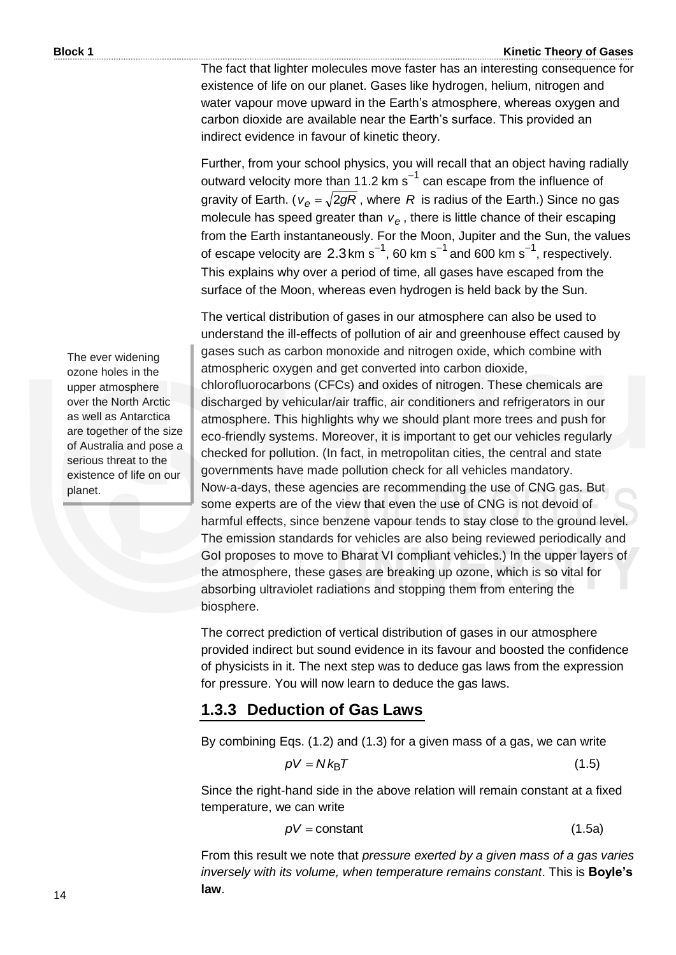The fact that lighter molecules move faster has an interesting consequence for existence of life on our planet. Gases like hydrogen, helium, nitrogen and water vapour move upward in the Earth's atmosphere, whereas oxygen and carbon dioxide are available near the Earth's surface. This provided an indirect evidence in favour of kinetic theory.

Further, from your school physics, you will recall that an object having radially outward velocity more than 11.2 km  $s^{-1}$  can escape from the influence of gravity of Earth. ( $v_e = \sqrt{2gR}$  , where  $R$  is radius of the Earth.) Since no gas molecule has speed greater than  $v_e$ , there is little chance of their escaping from the Earth instantaneously. For the Moon, Jupiter and the Sun, the values of escape velocity are  $2.3 \text{ km s}^{-1}$ , 60 km s<sup>-1</sup> and 600 km s<sup>-1</sup>, respectively. This explains why over a period of time, all gases have escaped from the surface of the Moon, whereas even hydrogen is held back by the Sun.

The vertical distribution of gases in our atmosphere can also be used to understand the ill-effects of pollution of air and greenhouse effect caused by gases such as carbon monoxide and nitrogen oxide, which combine with atmospheric oxygen and get converted into carbon dioxide, chlorofluorocarbons (CFCs) and oxides of nitrogen. These chemicals are discharged by vehicular/air traffic, air conditioners and refrigerators in our atmosphere. This highlights why we should plant more trees and push for eco-friendly systems. Moreover, it is important to get our vehicles regularly checked for pollution. (In fact, in metropolitan cities, the central and state governments have made pollution check for all vehicles mandatory. Now-a-days, these agencies are recommending the use of CNG gas. But some experts are of the view that even the use of CNG is not devoid of harmful effects, since benzene vapour tends to stay close to the ground level. The emission standards for vehicles are also being reviewed periodically and GoI proposes to move to Bharat VI compliant vehicles.) In the upper layers of the atmosphere, these gases are breaking up ozone, which is so vital for absorbing ultraviolet radiations and stopping them from entering the biosphere.

The correct prediction of vertical distribution of gases in our atmosphere provided indirect but sound evidence in its favour and boosted the confidence of physicists in it. The next step was to deduce gas laws from the expression for pressure. You will now learn to deduce the gas laws.

### **1.3.3 Deduction of Gas Laws**

By combining Eqs. (1.2) and (1.3) for a given mass of a gas, we can write

$$
pV = Nk_{\text{B}}T \tag{1.5}
$$

Since the right-hand side in the above relation will remain constant at a fixed temperature, we can write

$$
pV = \text{constant} \tag{1.5a}
$$

From this result we note that *pressure exerted by a given mass of a gas varies inversely with its volume, when temperature remains constant*. This is **Boyle's law**.

The ever widening ozone holes in the upper atmosphere over the North Arctic as well as Antarctica are together of the size of Australia and pose a serious threat to the existence of life on our planet.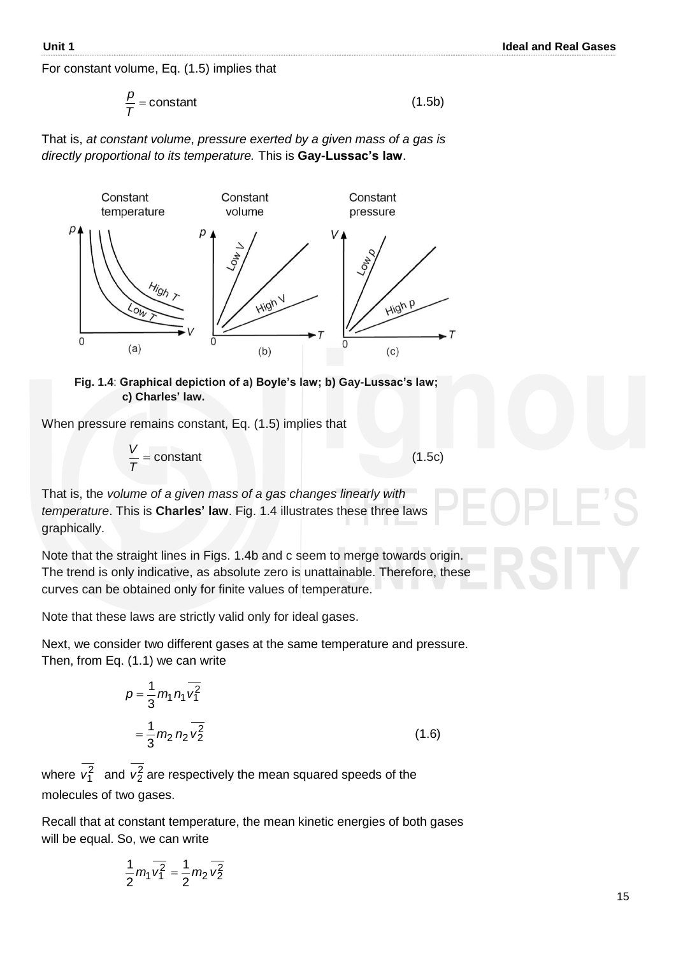For constant volume, Eq. (1.5) implies that

$$
\frac{p}{T} = \text{constant} \tag{1.5b}
$$

That is, *at constant volume*, *pressure exerted by a given mass of a gas is directly proportional to its temperature.* This is **Gay-Lussac's law**.



#### **Fig. 1.4**: **Graphical depiction of a) Boyle's law; b) Gay-Lussac's law; c) Charles' law.**

When pressure remains constant, Eq. (1.5) implies that

$$
\frac{V}{T} = \text{constant} \tag{1.5c}
$$

That is, the *volume of a given mass of a gas changes linearly with temperature*. This is **Charles' law**. Fig. 1.4 illustrates these three laws graphically.

Note that the straight lines in Figs. 1.4b and c seem to merge towards origin. The trend is only indicative, as absolute zero is unattainable. Therefore, these curves can be obtained only for finite values of temperature.

Note that these laws are strictly valid only for ideal gases.

Next, we consider two different gases at the same temperature and pressure. Then, from Eq. (1.1) we can write

$$
p = \frac{1}{3} m_1 n_1 \overline{v_1^2}
$$
  
=  $\frac{1}{3} m_2 n_2 \overline{v_2^2}$  (1.6)

where  $v_1^2$  and  $v_2^2$  are respectively the mean squared speeds of the molecules of two gases.

Recall that at constant temperature, the mean kinetic energies of both gases will be equal. So, we can write

$$
\frac{1}{2}m_1\overline{v_1^2}=\frac{1}{2}m_2\overline{v_2^2}
$$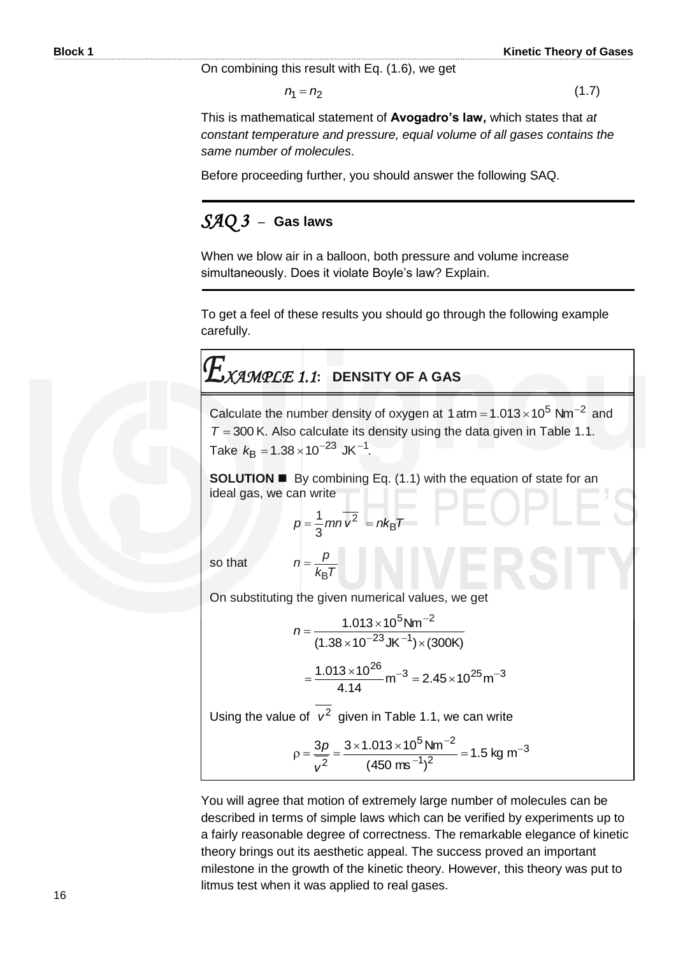On combining this result with Eq. (1.6), we get

$$
n_1 = n_2 \tag{1.7}
$$

This is mathematical statement of **Avogadro's law,** which states that *at constant temperature and pressure, equal volume of all gases contains the same number of molecules*.

Before proceeding further, you should answer the following SAQ.

### *SAQ 3* –**Gas laws**

When we blow air in a balloon, both pressure and volume increase simultaneously. Does it violate Boyle's law? Explain.

To get a feel of these results you should go through the following example carefully.

# *XAMPLE 1.1***: DENSITY OF A GAS**

Calculate the number density of oxygen at 1 atm =  $1.013 \times 10^5$  Nm<sup>-2</sup> and  $T = 300$  K. Also calculate its density using the data given in Table 1.1. Take  $k_{\text{B}} = 1.38 \times 10^{-23} \text{ JK}^{-1}$ .

**SOLUTION By combining Eq. (1.1) with the equation of state for an** ideal gas, we can write

$$
p = \frac{1}{3}mn\overline{v^2} = nk_BT
$$

so that

On substituting the given numerical values, we get

 $k_B$ *T p*

B

*n*

$$
n = \frac{1.013 \times 10^5 \text{ Nm}^{-2}}{(1.38 \times 10^{-23} \text{ JK}^{-1}) \times (300 \text{ K})}
$$

$$
= \frac{1.013 \times 10^{26}}{4.14} \text{ m}^{-3} = 2.45 \times 10^{25} \text{ m}^{-3}
$$

Using the value of  $v^2$  given in Table 1.1, we can write

$$
\rho = \frac{3p}{v^2} = \frac{3 \times 1.013 \times 10^5 \text{ Nm}^{-2}}{(450 \text{ ms}^{-1})^2} = 1.5 \text{ kg m}^{-3}
$$

You will agree that motion of extremely large number of molecules can be described in terms of simple laws which can be verified by experiments up to a fairly reasonable degree of correctness. The remarkable elegance of kinetic theory brings out its aesthetic appeal. The success proved an important milestone in the growth of the kinetic theory. However, this theory was put to litmus test when it was applied to real gases.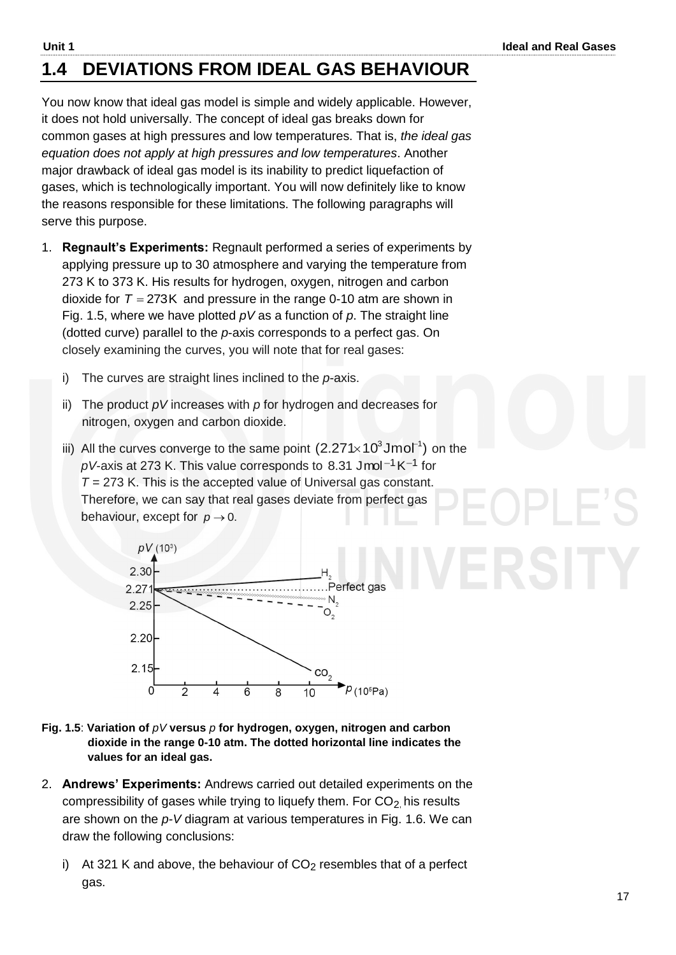## **1.4 DEVIATIONS FROM IDEAL GAS BEHAVIOUR**

You now know that ideal gas model is simple and widely applicable. However, it does not hold universally. The concept of ideal gas breaks down for common gases at high pressures and low temperatures. That is, *the ideal gas equation does not apply at high pressures and low temperatures*. Another major drawback of ideal gas model is its inability to predict liquefaction of gases, which is technologically important. You will now definitely like to know the reasons responsible for these limitations. The following paragraphs will serve this purpose.

- 1. **Regnault's Experiments:** Regnault performed a series of experiments by applying pressure up to 30 atmosphere and varying the temperature from 273 K to 373 K. His results for hydrogen, oxygen, nitrogen and carbon dioxide for  $T = 273K$  and pressure in the range 0-10 atm are shown in Fig. 1.5, where we have plotted *pV* as a function of *p*. The straight line (dotted curve) parallel to the *p*-axis corresponds to a perfect gas. On closely examining the curves, you will note that for real gases:
	- i) The curves are straight lines inclined to the *p*-axis.
	- ii) The product *pV* increases with *p* for hydrogen and decreases for nitrogen, oxygen and carbon dioxide.
	- iii) All the curves converge to the same point  $(2.271 \times 10^3$ Jmol<sup>-1</sup>) on the  $pV$ -axis at 273 K. This value corresponds to 8.31 Jmol<sup>-1</sup> K<sup>-1</sup> for *T =* 273 K. This is the accepted value of Universal gas constant. Therefore, we can say that real gases deviate from perfect gas behaviour, except for  $p \rightarrow 0$ .



- **Fig. 1.5**: **Variation of** *pV* **versus** *p* **for hydrogen, oxygen, nitrogen and carbon dioxide in the range 0-10 atm. The dotted horizontal line indicates the values for an ideal gas.**
- 2. **Andrews' Experiments:** Andrews carried out detailed experiments on the compressibility of gases while trying to liquefy them. For  $CO<sub>2</sub>$  his results are shown on the *p-V* diagram at various temperatures in Fig. 1.6. We can draw the following conclusions:
	- i) At 321 K and above, the behaviour of  $CO<sub>2</sub>$  resembles that of a perfect gas.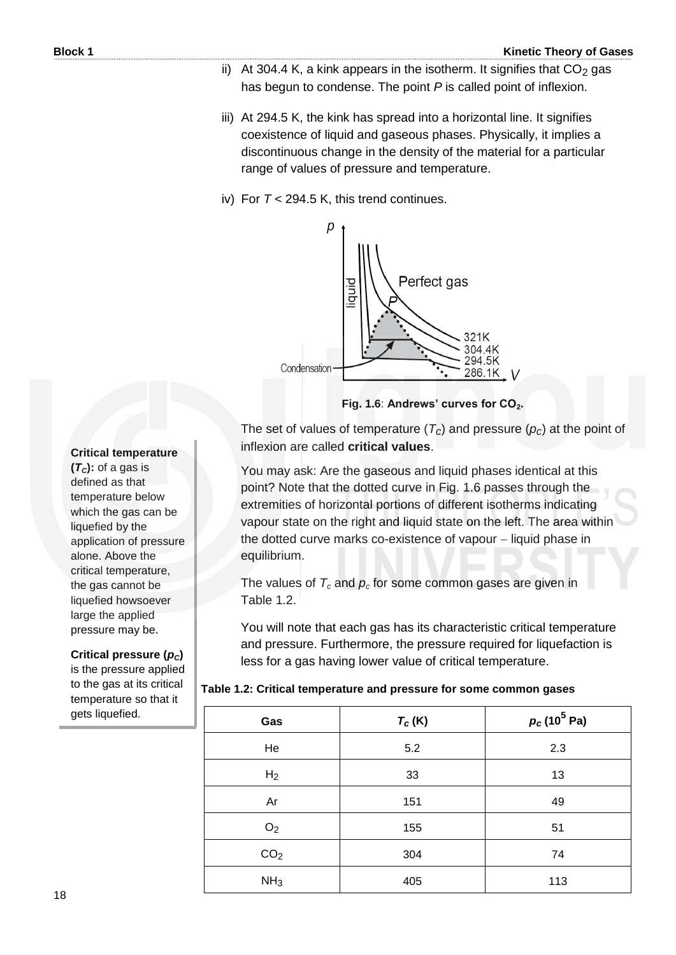- ii) At 304.4 K, a kink appears in the isotherm. It signifies that  $CO<sub>2</sub>$  gas has begun to condense. The point *P* is called point of inflexion.
- iii) At 294.5 K, the kink has spread into a horizontal line. It signifies coexistence of liquid and gaseous phases. Physically, it implies a discontinuous change in the density of the material for a particular range of values of pressure and temperature.

#### iv) For *T* < 294.5 K, this trend continues.



**Fig. 1.6**: **Andrews' curves for CO2.**

The set of values of temperature  $(T_c)$  and pressure  $(p_c)$  at the point of inflexion are called **critical values**.

You may ask: Are the gaseous and liquid phases identical at this point? Note that the dotted curve in Fig. 1.6 passes through the extremities of horizontal portions of different isotherms indicating vapour state on the right and liquid state on the left. The area within the dotted curve marks co-existence of vapour - liquid phase in equilibrium.

The values of  $T_c$  and  $p_c$  for some common gases are given in Table 1.2.

You will note that each gas has its characteristic critical temperature and pressure. Furthermore, the pressure required for liquefaction is less for a gas having lower value of critical temperature.

|  |  |  | Table 1.2: Critical temperature and pressure for some common gases |
|--|--|--|--------------------------------------------------------------------|
|--|--|--|--------------------------------------------------------------------|

| Gas             | $T_c(K)$ | $p_c(10^5 \text{ Pa})$ |
|-----------------|----------|------------------------|
| He              | 5.2      | 2.3                    |
| H <sub>2</sub>  | 33       | 13                     |
| Ar              | 151      | 49                     |
| O <sub>2</sub>  | 155      | 51                     |
| CO <sub>2</sub> | 304      | 74                     |
| NH <sub>3</sub> | 405      | 113                    |

#### **Critical temperature**

 $(T_c)$ : of a gas is defined as that temperature below which the gas can be liquefied by the application of pressure alone. Above the critical temperature, the gas cannot be liquefied howsoever large the applied pressure may be.

#### **Critical pressure (***pC***)**

is the pressure applied to the gas at its critical temperature so that it gets liquefied.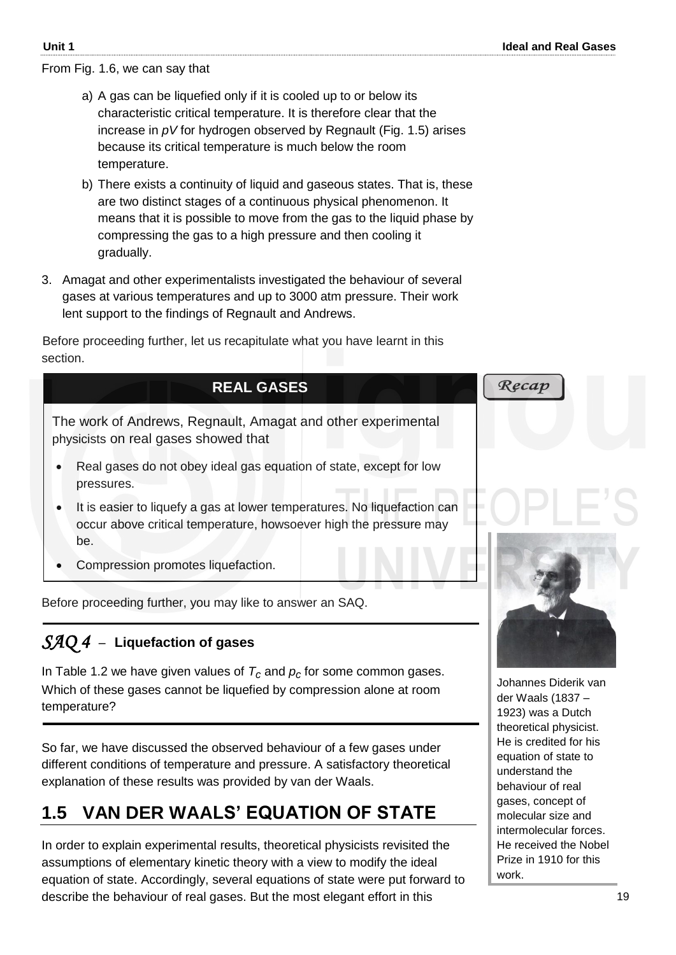From Fig. 1.6, we can say that

- a) A gas can be liquefied only if it is cooled up to or below its characteristic critical temperature. It is therefore clear that the increase in *pV* for hydrogen observed by Regnault (Fig. 1.5) arises because its critical temperature is much below the room temperature.
- b) There exists a continuity of liquid and gaseous states. That is, these are two distinct stages of a continuous physical phenomenon. It means that it is possible to move from the gas to the liquid phase by compressing the gas to a high pressure and then cooling it gradually.
- 3. Amagat and other experimentalists investigated the behaviour of several gases at various temperatures and up to 3000 atm pressure. Their work lent support to the findings of Regnault and Andrews.

Before proceeding further, let us recapitulate what you have learnt in this section.

# **REAL GASES**

The work of Andrews, Regnault, Amagat and other experimental physicists on real gases showed that

- Real gases do not obey ideal gas equation of state, except for low pressures.
- It is easier to liquefy a gas at lower temperatures. No liquefaction can occur above critical temperature, howsoever high the pressure may be.
- Compression promotes liquefaction.

Before proceeding further, you may like to answer an SAQ.

### *SAQ 4* –**Liquefaction of gases**

In Table 1.2 we have given values of *Tc* and *pc* for some common gases. Which of these gases cannot be liquefied by compression alone at room temperature?

So far, we have discussed the observed behaviour of a few gases under different conditions of temperature and pressure. A satisfactory theoretical explanation of these results was provided by van der Waals.

### **1.5 VAN DER WAALS' EQUATION OF STATE**

In order to explain experimental results, theoretical physicists revisited the assumptions of elementary kinetic theory with a view to modify the ideal equation of state. Accordingly, several equations of state were put forward to describe the behaviour of real gases. But the most elegant effort in this



Recap

Johannes Diderik van der Waals (1837 – 1923) was a Dutch theoretical physicist. He is credited for his equation of state to understand the behaviour of real gases, concept of molecular size and intermolecular forces. He received the Nobel Prize in 1910 for this work.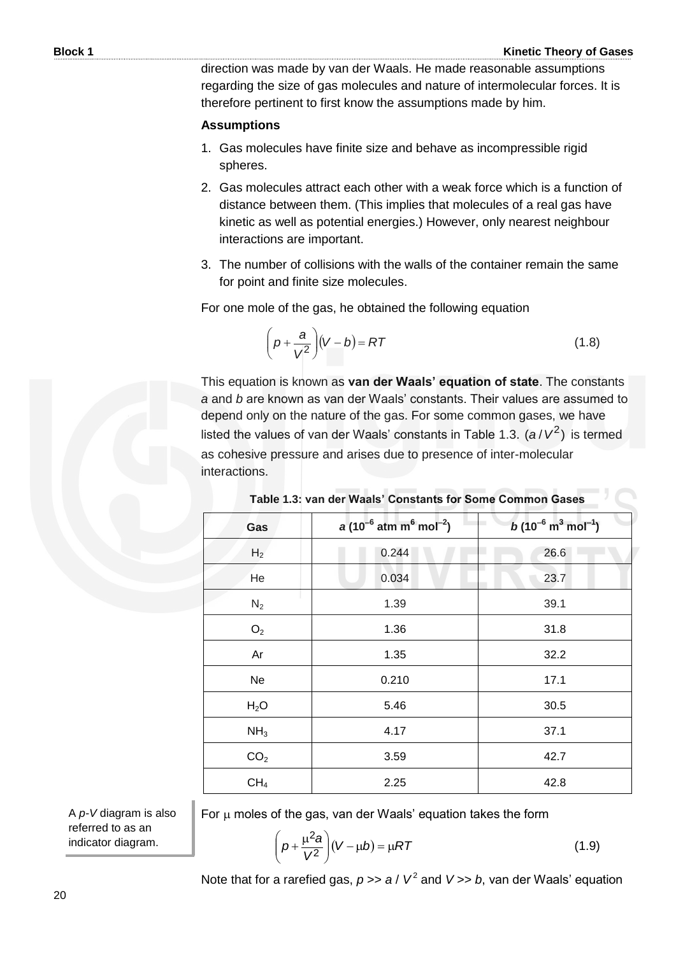direction was made by van der Waals. He made reasonable assumptions regarding the size of gas molecules and nature of intermolecular forces. It is therefore pertinent to first know the assumptions made by him.

#### **Assumptions**

- 1. Gas molecules have finite size and behave as incompressible rigid spheres.
- 2. Gas molecules attract each other with a weak force which is a function of distance between them. (This implies that molecules of a real gas have kinetic as well as potential energies.) However, only nearest neighbour interactions are important.
- 3. The number of collisions with the walls of the container remain the same for point and finite size molecules.

For one mole of the gas, he obtained the following equation

$$
\left(p + \frac{a}{V^2}\right)(V - b) = RT
$$
\n(1.8)

This equation is known as **van der Waals' equation of state**. The constants *a* and *b* are known as van der Waals' constants. Their values are assumed to depend only on the nature of the gas. For some common gases, we have listed the values of van der Waals' constants in Table 1.3.  $(a/V^2)$  is termed as cohesive pressure and arises due to presence of inter-molecular interactions.

| Gas              | $a(10^{-6}$ atm m <sup>6</sup> mol <sup>-2</sup> ) | $b(10^{-6} \text{ m}^3 \text{ mol}^{-1})$ |
|------------------|----------------------------------------------------|-------------------------------------------|
| H <sub>2</sub>   | 0.244                                              | 26.6                                      |
| He               | 0.034                                              | 23.7                                      |
| $N_2$            | 1.39                                               | 39.1                                      |
| O <sub>2</sub>   | 1.36                                               | 31.8                                      |
| Ar               | 1.35                                               | 32.2                                      |
| Ne               | 0.210                                              | 17.1                                      |
| H <sub>2</sub> O | 5.46                                               | 30.5                                      |
| NH <sub>3</sub>  | 4.17                                               | 37.1                                      |
| CO <sub>2</sub>  | 3.59                                               | 42.7                                      |
| CH <sub>4</sub>  | 2.25                                               | 42.8                                      |

|  |  |  |  |  | Table 1.3: van der Waals' Constants for Some Common Gases |  |
|--|--|--|--|--|-----------------------------------------------------------|--|
|  |  |  |  |  |                                                           |  |

For  $\mu$  moles of the gas, van der Waals' equation takes the form

 $\left(p + \frac{\mu^2 a}{V^2}\right)(V - \mu b) = \mu RT$  $p + \frac{\mu^2 a}{\sqrt{2}} (V - \mu b) = \mu$ J  $\setminus$  $\parallel$  $\setminus$  $\left(p+\frac{\mu^2\epsilon}{V^2}\right)$ 2 (1.9)

Note that for a rarefied gas,  $p \gg a / V^2$  and  $V \gg b$ , van der Waals' equation

A *p-V* diagram is also referred to as an indicator diagram.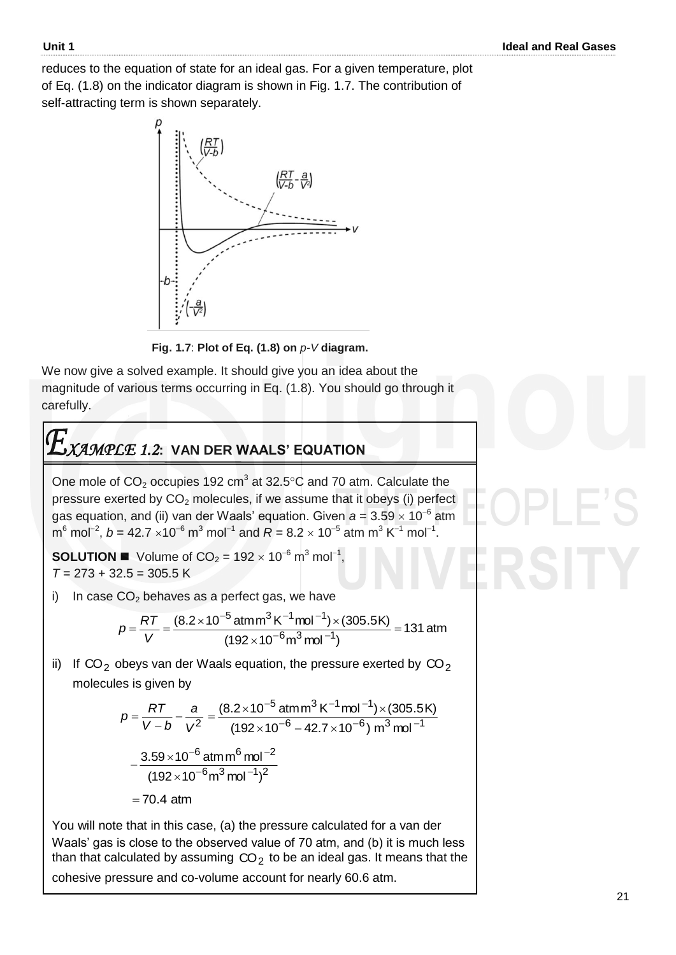reduces to the equation of state for an ideal gas. For a given temperature, plot of Eq. (1.8) on the indicator diagram is shown in Fig. 1.7. The contribution of self-attracting term is shown separately.



 **Fig. 1.7**: **Plot of Eq. (1.8) on** *p-V* **diagram.**

We now give a solved example. It should give you an idea about the magnitude of various terms occurring in Eq. (1.8). You should go through it carefully.

# *XAMPLE 1.2***: VAN DER WAALS' EQUATION**

One mole of  $CO<sub>2</sub>$  occupies 192 cm<sup>3</sup> at 32.5°C and 70 atm. Calculate the pressure exerted by  $CO<sub>2</sub>$  molecules, if we assume that it obeys (i) perfect gas equation, and (ii) van der Waals' equation. Given  $a$  = 3.59  $\times$  10<sup>-6</sup> atm  ${\sf m}^6$  mol<sup>-2</sup>,  ${\it b}$  = 42.7  $\times10^{-6}$   ${\sf m}^3$  mol<sup>-1</sup> and  ${\it R}$  = 8.2  $\times$  10<sup>-5</sup> atm  ${\sf m}^3$  K<sup>-1</sup> mol<sup>-1</sup>.

**SOLUTION**  $\blacksquare$  Volume of  $CO_2 = 192 \times 10^{-6}$  m<sup>3</sup> mol<sup>-1</sup>, *T* = 273 + 32.5 = 305.5 K

i) In case  $CO<sub>2</sub>$  behaves as a perfect gas, we have

$$
p = \frac{RT}{V} = \frac{(8.2 \times 10^{-5} \text{ atm} \text{m}^3 \text{K}^{-1} \text{mol}^{-1}) \times (305.5 \text{K})}{(192 \times 10^{-6} \text{m}^3 \text{mol}^{-1})} = 131 \text{ atm}
$$

ii) If CO<sub>2</sub> obeys van der Waals equation, the pressure exerted by CO<sub>2</sub> molecules is given by

$$
p = \frac{RT}{V - b} - \frac{a}{V^2} = \frac{(8.2 \times 10^{-5} \text{ atm} \text{m}^3 \text{K}^{-1} \text{mol}^{-1}) \times (305.5 \text{K})}{(192 \times 10^{-6} - 42.7 \times 10^{-6}) \text{ m}^3 \text{mol}^{-1}}
$$

$$
-\frac{3.59 \times 10^{-6} \text{ atm} \text{m}^6 \text{mol}^{-2}}{(192 \times 10^{-6} \text{m}^3 \text{mol}^{-1})^2}
$$

$$
= 70.4 \text{ atm}
$$

You will note that in this case, (a) the pressure calculated for a van der Waals' gas is close to the observed value of 70 atm, and (b) it is much less than that calculated by assuming  $\mathsf{CO}_2$  to be an ideal gas. It means that the cohesive pressure and co-volume account for nearly 60.6 atm.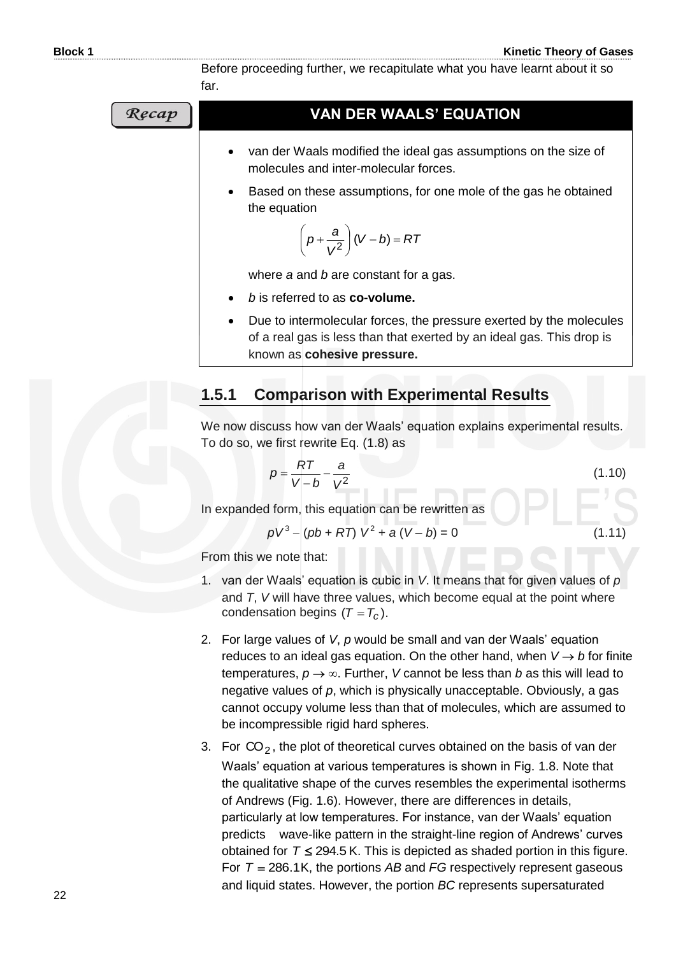Before proceeding further, we recapitulate what you have learnt about it so far.

**VAN DER WAALS' EQUATION** Recap van der Waals modified the ideal gas assumptions on the size of molecules and inter-molecular forces. Based on these assumptions, for one mole of the gas he obtained the equation  $\left(p+\frac{a}{2}\right)$  $\left(p+\frac{a}{\sqrt{2}}\right)(V-b)$  $p + \frac{a}{2}$   $(V - b) =$ *bV RT*  $\overline{\phantom{0}}$ *V*  $\bigg)$ where *a* and *b* are constant for a gas. *b* is referred to as **co-volume.**

> Due to intermolecular forces, the pressure exerted by the molecules of a real gas is less than that exerted by an ideal gas. This drop is known as **cohesive pressure.**

### **1.5.1 Comparison with Experimental Results**

We now discuss how van der Waals' equation explains experimental results. To do so, we first rewrite Eq. (1.8) as

$$
p = \frac{RT}{V - b} - \frac{a}{V^2}
$$
 (1.10)

In expanded form, this equation can be rewritten as

$$
pV^3 - (pb + RT) V^2 + a (V - b) = 0
$$
 (1.11)

From this we note that:

- 1. van der Waals' equation is cubic in *V*. It means that for given values of *p*  and *T*, *V* will have three values, which become equal at the point where condensation begins  $(T = T_c)$ .
- 2. For large values of *V*, *p* would be small and van der Waals' equation reduces to an ideal gas equation. On the other hand, when  $V \rightarrow b$  for finite temperatures,  $p \rightarrow \infty$ . Further, *V* cannot be less than *b* as this will lead to negative values of *p*, which is physically unacceptable. Obviously, a gas cannot occupy volume less than that of molecules, which are assumed to be incompressible rigid hard spheres.
- 3. For  $CO_2$ , the plot of theoretical curves obtained on the basis of van der Waals' equation at various temperatures is shown in Fig. 1.8. Note that the qualitative shape of the curves resembles the experimental isotherms of Andrews (Fig. 1.6). However, there are differences in details, particularly at low temperatures. For instance, van der Waals' equation predicts wave-like pattern in the straight-line region of Andrews' curves obtained for  $T \le 294.5$  K. This is depicted as shaded portion in this figure. For  $T = 286.1$ K, the portions AB and FG respectively represent gaseous and liquid states. However, the portion *BC* represents supersaturated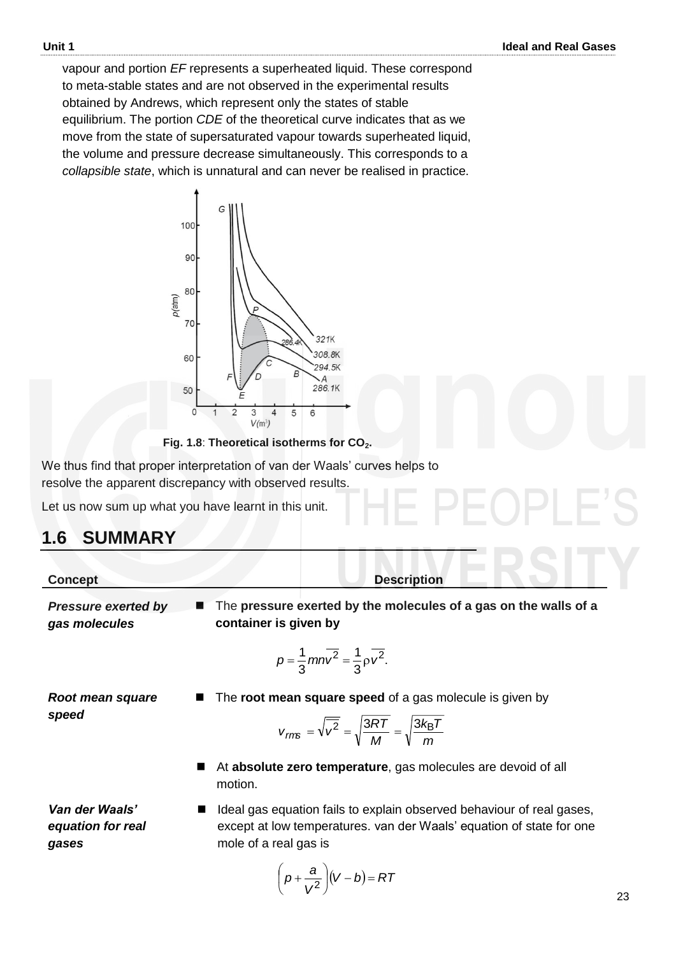vapour and portion *EF* represents a superheated liquid. These correspond to meta-stable states and are not observed in the experimental results obtained by Andrews, which represent only the states of stable equilibrium. The portion *CDE* of the theoretical curve indicates that as we move from the state of supersaturated vapour towards superheated liquid, the volume and pressure decrease simultaneously. This corresponds to a *collapsible state*, which is unnatural and can never be realised in practice.



 **Fig. 1.8**: **Theoretical isotherms for CO2.**

We thus find that proper interpretation of van der Waals' curves helps to resolve the apparent discrepancy with observed results.

Let us now sum up what you have learnt in this unit.

### **1.6 SUMMARY**

| <b>Concept</b>                              | <b>Description</b>                                                                          |
|---------------------------------------------|---------------------------------------------------------------------------------------------|
| <b>Pressure exerted by</b><br>gas molecules | ■ The pressure exerted by the molecules of a gas on the walls of a<br>container is given by |
|                                             | $p = \frac{1}{3} m n \overline{v^2} = \frac{1}{3} \rho \overline{v^2}$ .                    |
|                                             |                                                                                             |

*Root mean square*  **The root mean square speed** of a gas molecule is given by

$$
V_{\text{rms}} = \sqrt{\overline{v^2}} = \sqrt{\frac{3RT}{M}} = \sqrt{\frac{3k_B T}{m}}
$$

 At **absolute zero temperature**, gas molecules are devoid of all motion.

*Van der Waals' equation for real gases*

*speed*

■ Ideal gas equation fails to explain observed behaviour of real gases, except at low temperatures. van der Waals' equation of state for one mole of a real gas is

$$
\left(p+\frac{a}{V^2}\right)(V-b)=RT
$$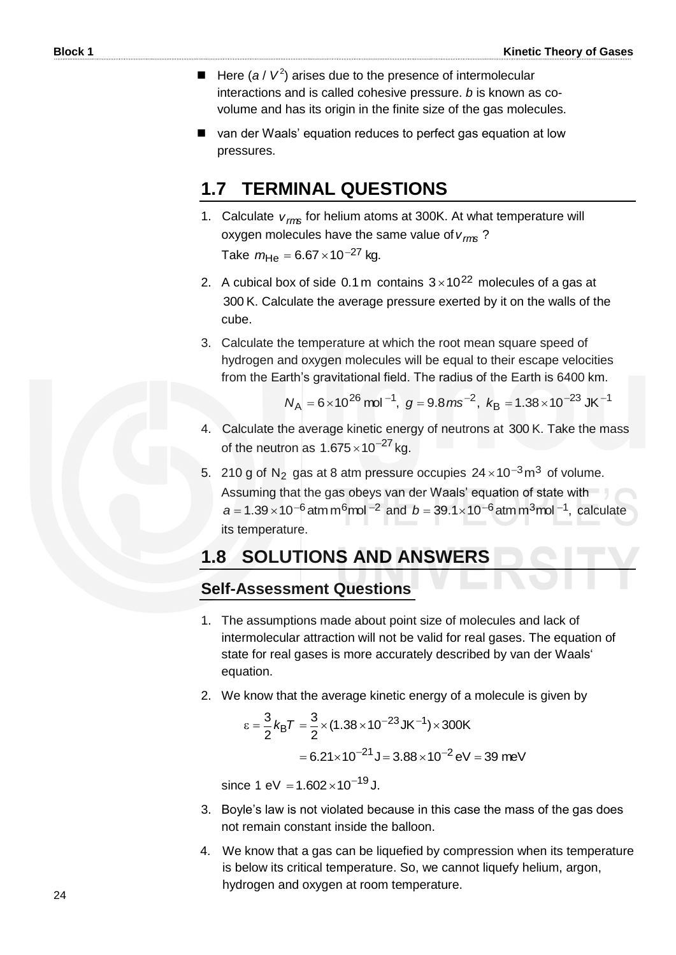- $\blacksquare$  Here (*a* /  $V^2$ ) arises due to the presence of intermolecular interactions and is called cohesive pressure. *b* is known as covolume and has its origin in the finite size of the gas molecules.
- van der Waals' equation reduces to perfect gas equation at low pressures.

### **1.7 TERMINAL QUESTIONS**

- 1. Calculate *vrms* for helium atoms at 300K. At what temperature will oxygen molecules have the same value of *vrms* ? Take  $m_{\text{He}} = 6.67 \times 10^{-27} \text{ kg.}$
- 2. A cubical box of side 0.1 m contains  $3 \times 10^{22}$  molecules of a gas at 300 K. Calculate the average pressure exerted by it on the walls of the cube.
- 3. Calculate the temperature at which the root mean square speed of hydrogen and oxygen molecules will be equal to their escape velocities from the Earth's gravitational field. The radius of the Earth is 6400 km.

$$
N_A = 6 \times 10^{26}
$$
 mol<sup>-1</sup>,  $g = 9.8$  ms<sup>-2</sup>,  $k_B = 1.38 \times 10^{-23}$  JK<sup>-1</sup>

- 4. Calculate the average kinetic energy of neutrons at 300 K. Take the mass of the neutron as  $1.675 \times 10^{-27}$  kg.
- 5. 210 g of N<sub>2</sub> gas at 8 atm pressure occupies  $24 \times 10^{-3}$  m<sup>3</sup> of volume.
	- Assuming that the gas obeys van der Waals' equation of state with  $a = 1.39 \times 10^{-6}$  atm m<sup>6</sup>mol <sup>-2</sup> and  $b = 39.1 \times 10^{-6}$  atm m<sup>3</sup>mol <sup>-1</sup>, calculate its temperature.

### **1.8 SOLUTIONS AND ANSWERS**

### **Self-Assessment Questions**

- 1. The assumptions made about point size of molecules and lack of intermolecular attraction will not be valid for real gases. The equation of state for real gases is more accurately described by van der Waals' equation.
- 2. We know that the average kinetic energy of a molecule is given by

$$
\varepsilon = \frac{3}{2} k_{\text{B}} T = \frac{3}{2} \times (1.38 \times 10^{-23} \,\text{J K}^{-1}) \times 300 \,\text{K}
$$

$$
= 6.21 \times 10^{-21} \,\text{J} = 3.88 \times 10^{-2} \,\text{eV} = 39 \,\text{meV}
$$

since 1 eV =  $1.602 \times 10^{-19}$  J.

- 3. Boyle's law is not violated because in this case the mass of the gas does not remain constant inside the balloon.
- 4. We know that a gas can be liquefied by compression when its temperature is below its critical temperature. So, we cannot liquefy helium, argon, hydrogen and oxygen at room temperature.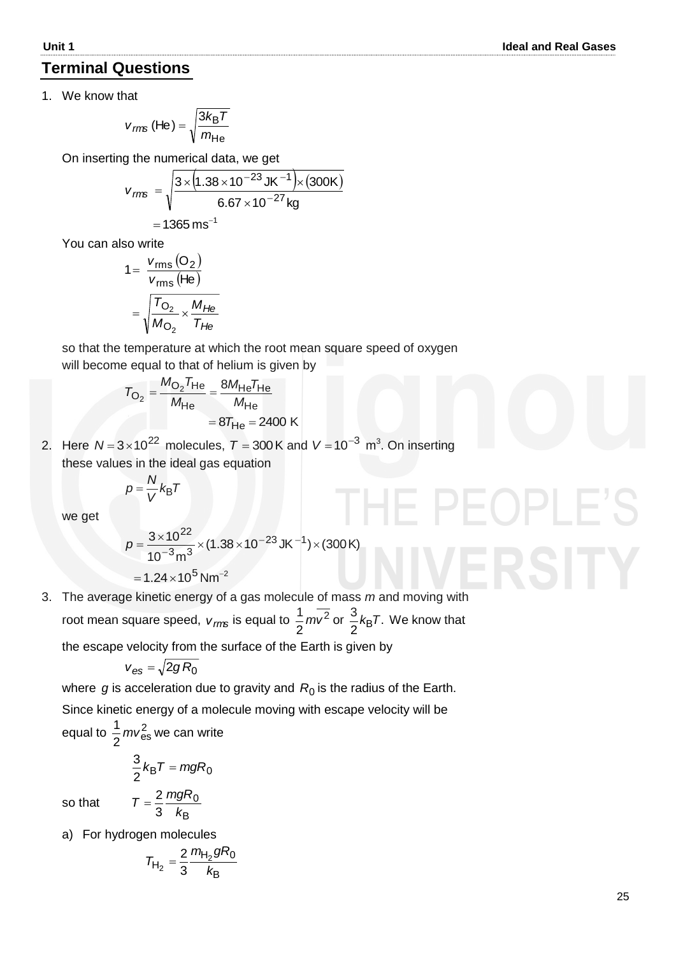### **Terminal Questions**

1. We know that

$$
v_{\text{rms}} \text{ (He)} = \sqrt{\frac{3k_{\text{B}}T}{m_{\text{He}}}}
$$

On inserting the numerical data, we get  
\n
$$
v_{rms} = \sqrt{\frac{3 \times (1.38 \times 10^{-23} \text{ J K}^{-1}) \times (300 \text{ K})}{6.67 \times 10^{-27} \text{ kg}}}
$$
\n= 1365 ms<sup>-1</sup>

You can also write

$$
1 = \frac{v_{\text{rms}}(O_2)}{v_{\text{rms}}(\text{He})}
$$

$$
= \sqrt{\frac{T_{O_2}}{M_{O_2}} \times \frac{M_{He}}{T_{He}}}
$$

 so that the temperature at which the root mean square speed of oxygen will become equal to that of helium is given by

$$
T_{\text{O}_2} = \frac{M_{\text{O}_2} T_{\text{He}}}{M_{\text{He}}} = \frac{8 M_{\text{He}} T_{\text{He}}}{M_{\text{He}}}
$$

$$
= 8 T_{\text{He}} = 2400 \text{ K}
$$

2. Here  $N = 3 \times 10^{22}$  molecules,  $T = 300$  K and  $V = 10^{-3}$  m<sup>3</sup>. On inserting these values in the ideal gas equation

$$
p = \frac{N}{V} k_{\rm B} T
$$

we get

$$
p = \frac{3 \times 10^{22}}{10^{-3} \text{ m}^3} \times (1.38 \times 10^{-23} \text{ J K}^{-1}) \times (300 \text{ K})
$$
  
= 1.24 × 10<sup>5</sup> N m<sup>-2</sup>

3. The average kinetic energy of a gas molecule of mass *m* and moving with root mean square speed,  $v_{\text{rms}}$  is equal to  $\frac{1}{2}mv^2$ 2  $\frac{1}{2} m v^2$  or  $\frac{3}{2} k_B T$ . 2  $\frac{3}{2}$ *k*<sub>B</sub>T. We know that

the escape velocity from the surface of the Earth is given by

$$
v_{\rm es} = \sqrt{2gR_0}
$$

where  $g$  is acceleration due to gravity and  $R_0$  is the radius of the Earth. Since kinetic energy of a molecule moving with escape velocity will be equal to  $\frac{1}{2}mv_{\text{es}}^2$  $\frac{1}{6}$  *mv*<sup>2</sup><sub>es</sub> we can write

$$
\frac{3}{2}k_{\text{B}}T = mgR_0
$$
  
so that 
$$
T = \frac{2}{3}\frac{mgR_0}{r^2}
$$

B 3 *k*

so that

a) For hydrogen molecules

$$
T_{H_2} = \frac{2}{3} \frac{m_{H_2} g R_0}{k_B}
$$